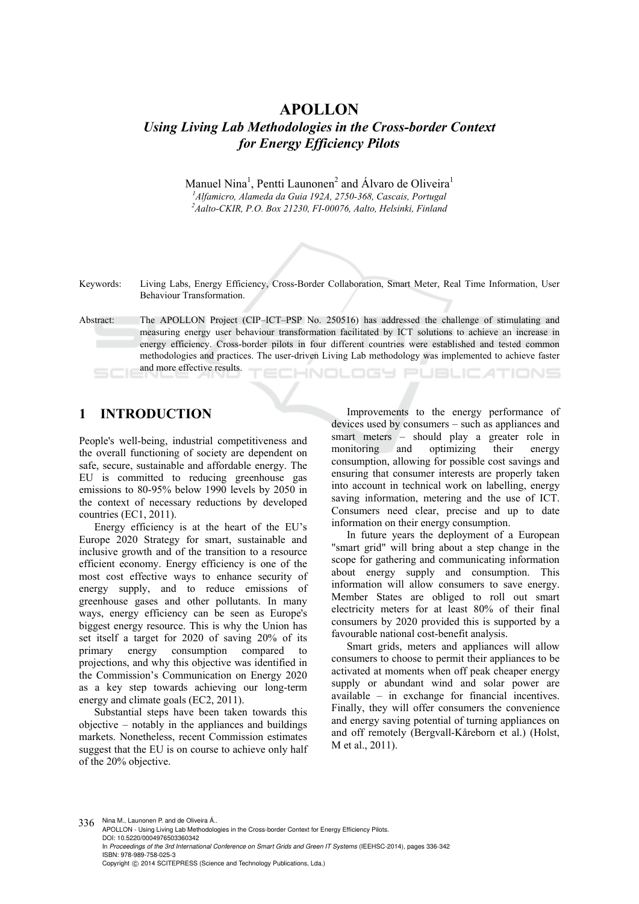# **APOLLON**  *Using Living Lab Methodologies in the Cross-border Context for Energy Efficiency Pilots*

Manuel Nina<sup>1</sup>, Pentti Launonen<sup>2</sup> and Álvaro de Oliveira<sup>1</sup> *1 Alfamicro, Alameda da Guia 192A, 2750-368, Cascais, Portugal 2 Aalto-CKIR, P.O. Box 21230, FI-00076, Aalto, Helsinki, Finland* 

Keywords: Living Labs, Energy Efficiency, Cross-Border Collaboration, Smart Meter, Real Time Information, User Behaviour Transformation.

Abstract: The APOLLON Project (CIP–ICT–PSP No. 250516) has addressed the challenge of stimulating and measuring energy user behaviour transformation facilitated by ICT solutions to achieve an increase in energy efficiency. Cross-border pilots in four different countries were established and tested common methodologies and practices. The user-driven Living Lab methodology was implemented to achieve faster and more effective results. **ECHNOLOGY PUBLICATIONS** 

# **1 INTRODUCTION**

People's well-being, industrial competitiveness and the overall functioning of society are dependent on safe, secure, sustainable and affordable energy. The EU is committed to reducing greenhouse gas emissions to 80-95% below 1990 levels by 2050 in the context of necessary reductions by developed countries (EC1, 2011).

Energy efficiency is at the heart of the EU's Europe 2020 Strategy for smart, sustainable and inclusive growth and of the transition to a resource efficient economy. Energy efficiency is one of the most cost effective ways to enhance security of energy supply, and to reduce emissions of greenhouse gases and other pollutants. In many ways, energy efficiency can be seen as Europe's biggest energy resource. This is why the Union has set itself a target for 2020 of saving 20% of its primary energy consumption compared to projections, and why this objective was identified in the Commission's Communication on Energy 2020 as a key step towards achieving our long-term energy and climate goals (EC2, 2011).

Substantial steps have been taken towards this objective – notably in the appliances and buildings markets. Nonetheless, recent Commission estimates suggest that the EU is on course to achieve only half of the 20% objective.

Improvements to the energy performance of devices used by consumers – such as appliances and smart meters – should play a greater role in monitoring and optimizing their energy consumption, allowing for possible cost savings and ensuring that consumer interests are properly taken into account in technical work on labelling, energy saving information, metering and the use of ICT. Consumers need clear, precise and up to date information on their energy consumption.

In future years the deployment of a European "smart grid" will bring about a step change in the scope for gathering and communicating information about energy supply and consumption. This information will allow consumers to save energy. Member States are obliged to roll out smart electricity meters for at least 80% of their final consumers by 2020 provided this is supported by a favourable national cost-benefit analysis.

Smart grids, meters and appliances will allow consumers to choose to permit their appliances to be activated at moments when off peak cheaper energy supply or abundant wind and solar power are available – in exchange for financial incentives. Finally, they will offer consumers the convenience and energy saving potential of turning appliances on and off remotely (Bergvall-Kåreborn et al.) (Holst, M et al., 2011).

336 Nina M., Launonen P. and de Oliveira Á.. APOLLON - Using Living Lab Methodologies in the Cross-border Context for Energy Efficiency Pilots. DOI: 10.5220/0004976503360342 In *Proceedings of the 3rd International Conference on Smart Grids and Green IT Systems* (IEEHSC-2014), pages 336-342 ISBN: 978-989-758-025-3 Copyright © 2014 SCITEPRESS (Science and Technology Publications, Lda.)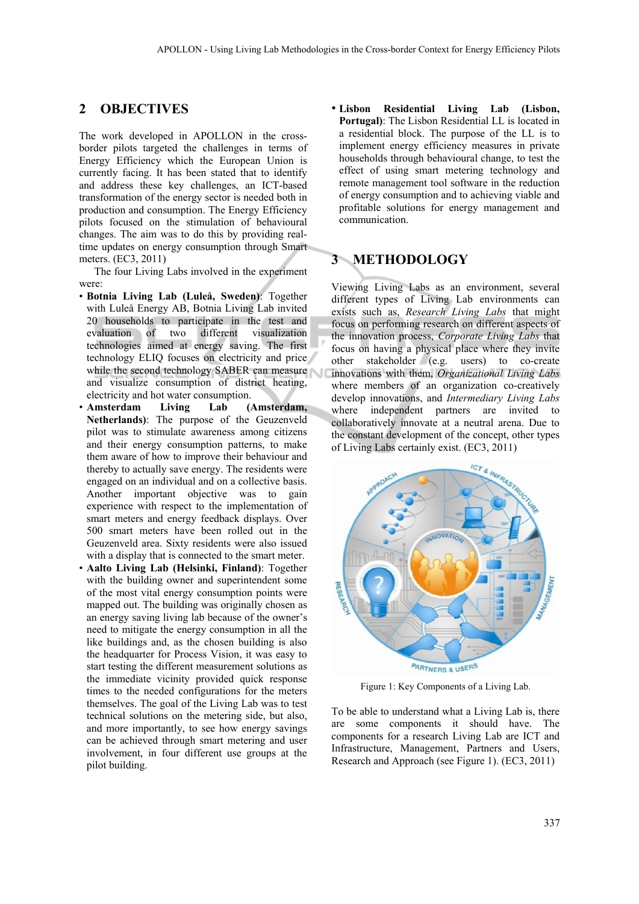### **2 OBJECTIVES**

The work developed in APOLLON in the crossborder pilots targeted the challenges in terms of Energy Efficiency which the European Union is currently facing. It has been stated that to identify and address these key challenges, an ICT-based transformation of the energy sector is needed both in production and consumption. The Energy Efficiency pilots focused on the stimulation of behavioural changes. The aim was to do this by providing realtime updates on energy consumption through Smart meters. (EC3, 2011)

The four Living Labs involved in the experiment were:

- **Botnia Living Lab (Luleå, Sweden)**: Together with Luleå Energy AB, Botnia Living Lab invited 20 households to participate in the test and evaluation of two different visualization technologies aimed at energy saving. The first technology ELIQ focuses on electricity and price while the second technology SABER can measure and visualize consumption of district heating, electricity and hot water consumption.
- **Amsterdam Living Lab (Amsterdam, Netherlands)**: The purpose of the Geuzenveld pilot was to stimulate awareness among citizens and their energy consumption patterns, to make them aware of how to improve their behaviour and thereby to actually save energy. The residents were engaged on an individual and on a collective basis. Another important objective was to gain experience with respect to the implementation of smart meters and energy feedback displays. Over 500 smart meters have been rolled out in the Geuzenveld area. Sixty residents were also issued with a display that is connected to the smart meter.
- **Aalto Living Lab (Helsinki, Finland)**: Together with the building owner and superintendent some of the most vital energy consumption points were mapped out. The building was originally chosen as an energy saving living lab because of the owner's need to mitigate the energy consumption in all the like buildings and, as the chosen building is also the headquarter for Process Vision, it was easy to start testing the different measurement solutions as the immediate vicinity provided quick response times to the needed configurations for the meters themselves. The goal of the Living Lab was to test technical solutions on the metering side, but also, and more importantly, to see how energy savings can be achieved through smart metering and user involvement, in four different use groups at the pilot building.

• **Lisbon Residential Living Lab (Lisbon, Portugal)**: The Lisbon Residential LL is located in a residential block. The purpose of the LL is to implement energy efficiency measures in private households through behavioural change, to test the effect of using smart metering technology and remote management tool software in the reduction of energy consumption and to achieving viable and profitable solutions for energy management and communication.

# **3 METHODOLOGY**

Viewing Living Labs as an environment, several different types of Living Lab environments can exists such as, *Research Living Labs* that might focus on performing research on different aspects of the innovation process, *Corporate Living Labs* that focus on having a physical place where they invite other stakeholder (e.g. users) to co-create innovations with them, *Organizational Living Labs* where members of an organization co-creatively develop innovations, and *Intermediary Living Labs* where independent partners are invited to collaboratively innovate at a neutral arena. Due to the constant development of the concept, other types of Living Labs certainly exist. (EC3, 2011)



Figure 1: Key Components of a Living Lab.

To be able to understand what a Living Lab is, there are some components it should have. The components for a research Living Lab are ICT and Infrastructure, Management, Partners and Users, Research and Approach (see Figure 1). (EC3, 2011)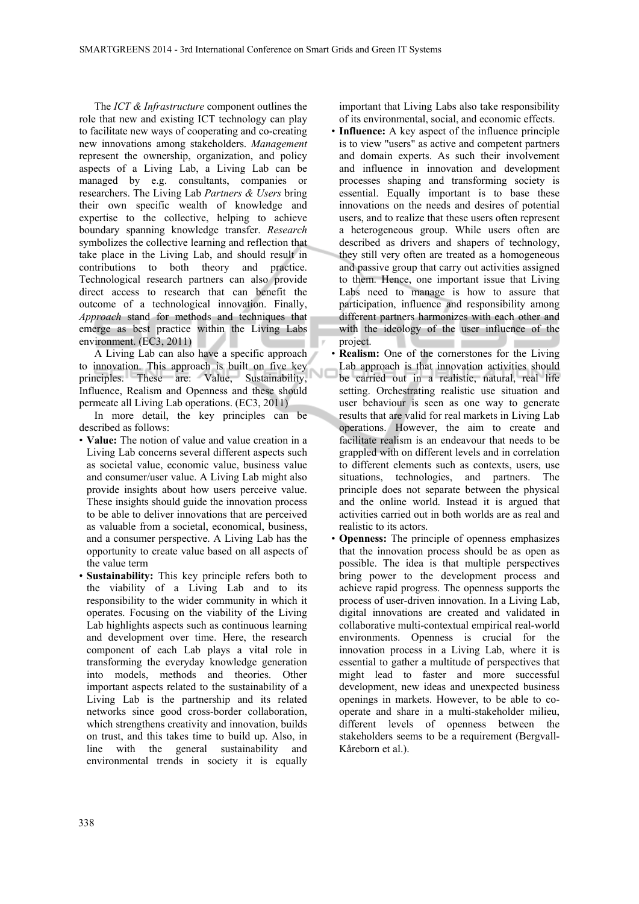The *ICT & Infrastructure* component outlines the role that new and existing ICT technology can play to facilitate new ways of cooperating and co-creating new innovations among stakeholders. *Management* represent the ownership, organization, and policy aspects of a Living Lab, a Living Lab can be managed by e.g. consultants, companies or researchers. The Living Lab *Partners & Users* bring their own specific wealth of knowledge and expertise to the collective, helping to achieve boundary spanning knowledge transfer. *Research* symbolizes the collective learning and reflection that take place in the Living Lab, and should result in contributions to both theory and practice. Technological research partners can also provide direct access to research that can benefit the outcome of a technological innovation. Finally, *Approach* stand for methods and techniques that emerge as best practice within the Living Labs environment. (EC3, 2011)

A Living Lab can also have a specific approach to innovation. This approach is built on five key NC principles. These are: Value, Sustainability, Influence, Realism and Openness and these should permeate all Living Lab operations. (EC3, 2011)

In more detail, the key principles can be described as follows:

- **Value:** The notion of value and value creation in a Living Lab concerns several different aspects such as societal value, economic value, business value and consumer/user value. A Living Lab might also provide insights about how users perceive value. These insights should guide the innovation process to be able to deliver innovations that are perceived as valuable from a societal, economical, business, and a consumer perspective. A Living Lab has the opportunity to create value based on all aspects of the value term
- **Sustainability:** This key principle refers both to the viability of a Living Lab and to its responsibility to the wider community in which it operates. Focusing on the viability of the Living Lab highlights aspects such as continuous learning and development over time. Here, the research component of each Lab plays a vital role in transforming the everyday knowledge generation into models, methods and theories. Other important aspects related to the sustainability of a Living Lab is the partnership and its related networks since good cross-border collaboration, which strengthens creativity and innovation, builds on trust, and this takes time to build up. Also, in line with the general sustainability and environmental trends in society it is equally

important that Living Labs also take responsibility of its environmental, social, and economic effects.

- **Influence:** A key aspect of the influence principle is to view "users" as active and competent partners and domain experts. As such their involvement and influence in innovation and development processes shaping and transforming society is essential. Equally important is to base these innovations on the needs and desires of potential users, and to realize that these users often represent a heterogeneous group. While users often are described as drivers and shapers of technology, they still very often are treated as a homogeneous and passive group that carry out activities assigned to them. Hence, one important issue that Living Labs need to manage is how to assure that participation, influence and responsibility among different partners harmonizes with each other and with the ideology of the user influence of the project.
- **Realism:** One of the cornerstones for the Living Lab approach is that innovation activities should be carried out in a realistic, natural, real life setting. Orchestrating realistic use situation and user behaviour is seen as one way to generate results that are valid for real markets in Living Lab operations. However, the aim to create and facilitate realism is an endeavour that needs to be grappled with on different levels and in correlation to different elements such as contexts, users, use situations, technologies, and partners. The principle does not separate between the physical and the online world. Instead it is argued that activities carried out in both worlds are as real and realistic to its actors.
- **Openness:** The principle of openness emphasizes that the innovation process should be as open as possible. The idea is that multiple perspectives bring power to the development process and achieve rapid progress. The openness supports the process of user-driven innovation. In a Living Lab, digital innovations are created and validated in collaborative multi-contextual empirical real-world environments. Openness is crucial for the innovation process in a Living Lab, where it is essential to gather a multitude of perspectives that might lead to faster and more successful development, new ideas and unexpected business openings in markets. However, to be able to cooperate and share in a multi-stakeholder milieu, different levels of openness between the stakeholders seems to be a requirement (Bergvall-Kåreborn et al.).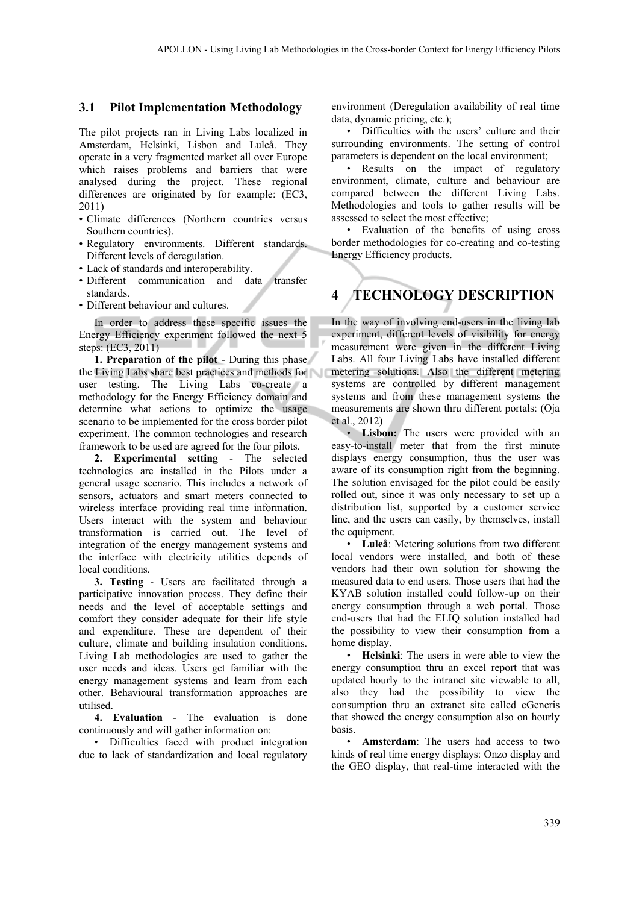#### **3.1 Pilot Implementation Methodology**

The pilot projects ran in Living Labs localized in Amsterdam, Helsinki, Lisbon and Luleå. They operate in a very fragmented market all over Europe which raises problems and barriers that were analysed during the project. These regional differences are originated by for example: (EC3, 2011)

- Climate differences (Northern countries versus Southern countries).
- Regulatory environments. Different standards. Different levels of deregulation.
- Lack of standards and interoperability.
- Different communication and data transfer standards.
- Different behaviour and cultures.

In order to address these specific issues the Energy Efficiency experiment followed the next 5 steps: (EC3, 2011)

**1. Preparation of the pilot** - During this phase the Living Labs share best practices and methods for user testing. The Living Labs co-create a methodology for the Energy Efficiency domain and determine what actions to optimize the usage scenario to be implemented for the cross border pilot experiment. The common technologies and research framework to be used are agreed for the four pilots.

**2. Experimental setting** - The selected technologies are installed in the Pilots under a general usage scenario. This includes a network of sensors, actuators and smart meters connected to wireless interface providing real time information. Users interact with the system and behaviour transformation is carried out. The level of integration of the energy management systems and the interface with electricity utilities depends of local conditions.

**3. Testing** - Users are facilitated through a participative innovation process. They define their needs and the level of acceptable settings and comfort they consider adequate for their life style and expenditure. These are dependent of their culture, climate and building insulation conditions. Living Lab methodologies are used to gather the user needs and ideas. Users get familiar with the energy management systems and learn from each other. Behavioural transformation approaches are utilised.

**4. Evaluation** - The evaluation is done continuously and will gather information on:

• Difficulties faced with product integration due to lack of standardization and local regulatory environment (Deregulation availability of real time data, dynamic pricing, etc.);

• Difficulties with the users' culture and their surrounding environments. The setting of control parameters is dependent on the local environment;

• Results on the impact of regulatory environment, climate, culture and behaviour are compared between the different Living Labs. Methodologies and tools to gather results will be assessed to select the most effective;

• Evaluation of the benefits of using cross border methodologies for co-creating and co-testing Energy Efficiency products.

# **4 TECHNOLOGY DESCRIPTION**

In the way of involving end-users in the living lab experiment, different levels of visibility for energy measurement were given in the different Living Labs. All four Living Labs have installed different metering solutions. Also the different metering systems are controlled by different management systems and from these management systems the measurements are shown thru different portals: (Oja et al., 2012)

• **Lisbon:** The users were provided with an easy-to-install meter that from the first minute displays energy consumption, thus the user was aware of its consumption right from the beginning. The solution envisaged for the pilot could be easily rolled out, since it was only necessary to set up a distribution list, supported by a customer service line, and the users can easily, by themselves, install the equipment.

• **Luleå**: Metering solutions from two different local vendors were installed, and both of these vendors had their own solution for showing the measured data to end users. Those users that had the KYAB solution installed could follow-up on their energy consumption through a web portal. Those end-users that had the ELIQ solution installed had the possibility to view their consumption from a home display.

• **Helsinki**: The users in were able to view the energy consumption thru an excel report that was updated hourly to the intranet site viewable to all, also they had the possibility to view the consumption thru an extranet site called eGeneris that showed the energy consumption also on hourly basis.

• **Amsterdam**: The users had access to two kinds of real time energy displays: Onzo display and the GEO display, that real-time interacted with the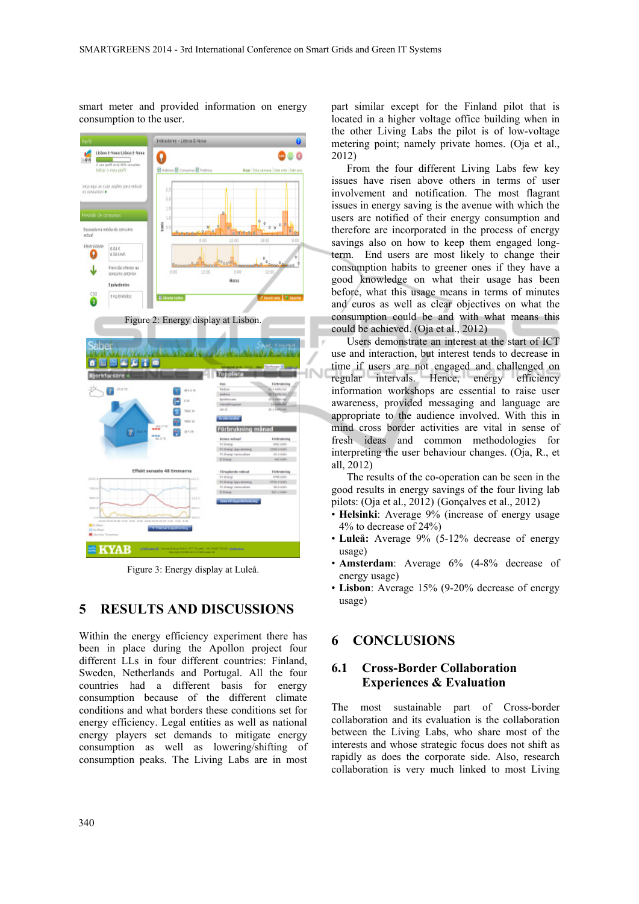smart meter and provided information on energy consumption to the user.



Figure 3: Energy display at Luleå.

### **5 RESULTS AND DISCUSSIONS**

Within the energy efficiency experiment there has been in place during the Apollon project four different LLs in four different countries: Finland, Sweden, Netherlands and Portugal. All the four countries had a different basis for energy consumption because of the different climate conditions and what borders these conditions set for energy efficiency. Legal entities as well as national energy players set demands to mitigate energy consumption as well as lowering/shifting of consumption peaks. The Living Labs are in most part similar except for the Finland pilot that is located in a higher voltage office building when in the other Living Labs the pilot is of low-voltage metering point; namely private homes. (Oja et al., 2012)

From the four different Living Labs few key issues have risen above others in terms of user involvement and notification. The most flagrant issues in energy saving is the avenue with which the users are notified of their energy consumption and therefore are incorporated in the process of energy savings also on how to keep them engaged longterm. End users are most likely to change their consumption habits to greener ones if they have a good knowledge on what their usage has been before, what this usage means in terms of minutes and euros as well as clear objectives on what the consumption could be and with what means this could be achieved. (Oja et al., 2012)

Users demonstrate an interest at the start of ICT use and interaction, but interest tends to decrease in time if users are not engaged and challenged on regular intervals. Hence, energy efficiency information workshops are essential to raise user awareness, provided messaging and language are appropriate to the audience involved. With this in mind cross border activities are vital in sense of fresh ideas and common methodologies for interpreting the user behaviour changes. (Oja, R., et all, 2012)

The results of the co-operation can be seen in the good results in energy savings of the four living lab pilots: (Oja et al., 2012) (Gonçalves et al., 2012)

- **Helsinki**: Average 9% (increase of energy usage 4% to decrease of 24%)
- **Luleå:** Average 9% (5-12% decrease of energy usage)
- **Amsterdam**: Average 6% (4-8% decrease of energy usage)
- **Lisbon**: Average 15% (9-20% decrease of energy usage)

## **6 CONCLUSIONS**

#### **6.1 Cross-Border Collaboration Experiences & Evaluation**

The most sustainable part of Cross-border collaboration and its evaluation is the collaboration between the Living Labs, who share most of the interests and whose strategic focus does not shift as rapidly as does the corporate side. Also, research collaboration is very much linked to most Living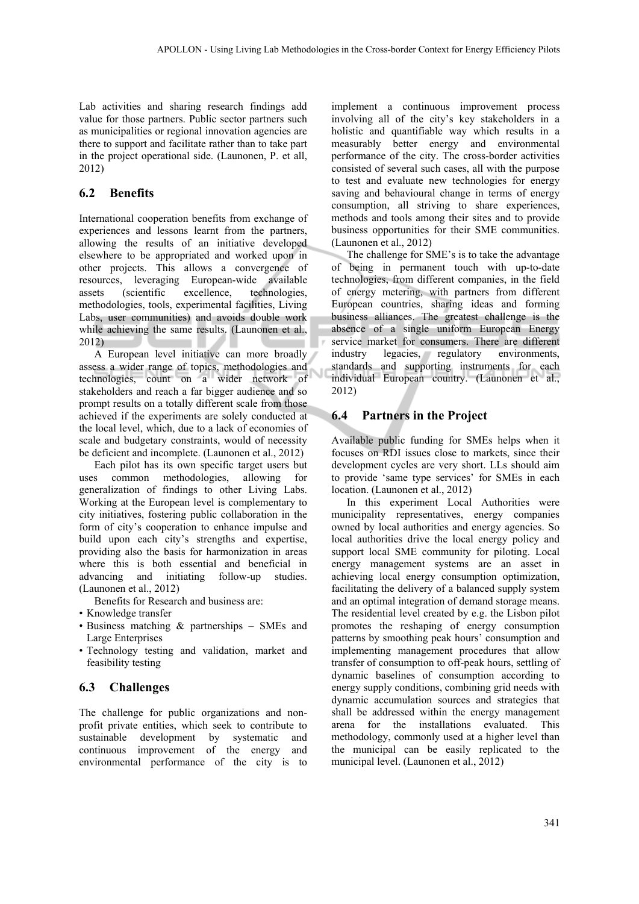Lab activities and sharing research findings add value for those partners. Public sector partners such as municipalities or regional innovation agencies are there to support and facilitate rather than to take part in the project operational side. (Launonen, P. et all, 2012)

## **6.2 Benefits**

International cooperation benefits from exchange of experiences and lessons learnt from the partners, allowing the results of an initiative developed elsewhere to be appropriated and worked upon in other projects. This allows a convergence of resources, leveraging European-wide available assets (scientific excellence, technologies, methodologies, tools, experimental facilities, Living Labs, user communities) and avoids double work while achieving the same results. (Launonen et al., 2012)

A European level initiative can more broadly assess a wider range of topics, methodologies and technologies, count on a wider network of stakeholders and reach a far bigger audience and so prompt results on a totally different scale from those achieved if the experiments are solely conducted at the local level, which, due to a lack of economies of scale and budgetary constraints, would of necessity be deficient and incomplete. (Launonen et al., 2012)

Each pilot has its own specific target users but uses common methodologies, allowing for generalization of findings to other Living Labs. Working at the European level is complementary to city initiatives, fostering public collaboration in the form of city's cooperation to enhance impulse and build upon each city's strengths and expertise, providing also the basis for harmonization in areas where this is both essential and beneficial in advancing and initiating follow-up studies. (Launonen et al., 2012)

Benefits for Research and business are:

- Knowledge transfer
- Business matching & partnerships SMEs and Large Enterprises
- Technology testing and validation, market and feasibility testing

## **6.3 Challenges**

The challenge for public organizations and nonprofit private entities, which seek to contribute to sustainable development by systematic and continuous improvement of the energy and environmental performance of the city is to

implement a continuous improvement process involving all of the city's key stakeholders in a holistic and quantifiable way which results in a measurably better energy and environmental performance of the city. The cross-border activities consisted of several such cases, all with the purpose to test and evaluate new technologies for energy saving and behavioural change in terms of energy consumption, all striving to share experiences, methods and tools among their sites and to provide business opportunities for their SME communities. (Launonen et al., 2012)

The challenge for SME's is to take the advantage of being in permanent touch with up-to-date technologies, from different companies, in the field of energy metering, with partners from different European countries, sharing ideas and forming business alliances. The greatest challenge is the absence of a single uniform European Energy service market for consumers. There are different industry legacies, regulatory environments, standards and supporting instruments for each individual European country. (Launonen et al., 2012)

# **6.4 Partners in the Project**

Available public funding for SMEs helps when it focuses on RDI issues close to markets, since their development cycles are very short. LLs should aim to provide 'same type services' for SMEs in each location. (Launonen et al., 2012)

In this experiment Local Authorities were municipality representatives, energy companies owned by local authorities and energy agencies. So local authorities drive the local energy policy and support local SME community for piloting. Local energy management systems are an asset in achieving local energy consumption optimization, facilitating the delivery of a balanced supply system and an optimal integration of demand storage means. The residential level created by e.g. the Lisbon pilot promotes the reshaping of energy consumption patterns by smoothing peak hours' consumption and implementing management procedures that allow transfer of consumption to off-peak hours, settling of dynamic baselines of consumption according to energy supply conditions, combining grid needs with dynamic accumulation sources and strategies that shall be addressed within the energy management arena for the installations evaluated. This methodology, commonly used at a higher level than the municipal can be easily replicated to the municipal level. (Launonen et al., 2012)